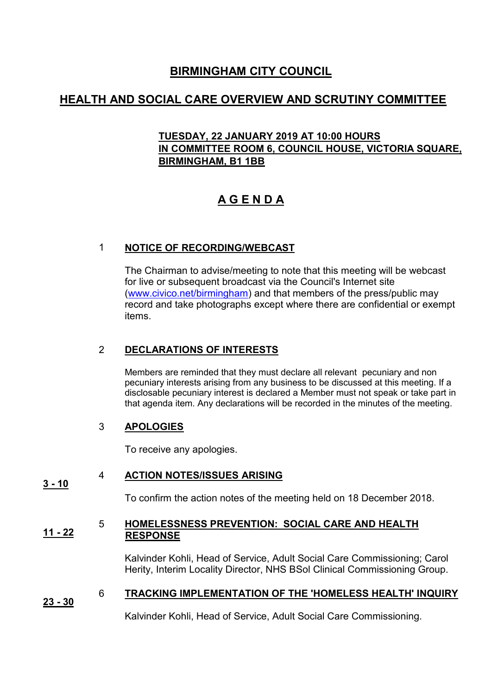# **BIRMINGHAM CITY COUNCIL**

# **HEALTH AND SOCIAL CARE OVERVIEW AND SCRUTINY COMMITTEE**

## **TUESDAY, 22 JANUARY 2019 AT 10:00 HOURS IN COMMITTEE ROOM 6, COUNCIL HOUSE, VICTORIA SQUARE, BIRMINGHAM, B1 1BB**

# **A G E N D A**

## 1 **NOTICE OF RECORDING/WEBCAST**

The Chairman to advise/meeting to note that this meeting will be webcast for live or subsequent broadcast via the Council's Internet site [\(www.civico.net/birmingham\)](http://www.civico.net/birmingham) and that members of the press/public may record and take photographs except where there are confidential or exempt items.

## 2 **DECLARATIONS OF INTERESTS**

Members are reminded that they must declare all relevant pecuniary and non pecuniary interests arising from any business to be discussed at this meeting. If a disclosable pecuniary interest is declared a Member must not speak or take part in that agenda item. Any declarations will be recorded in the minutes of the meeting.

### 3 **APOLOGIES**

To receive any apologies.

### **3 - 10** 4 **ACTION NOTES/ISSUES ARISING**

To confirm the action notes of the meeting held on 18 December 2018.

#### **11 - 22** 5 **HOMELESSNESS PREVENTION: SOCIAL CARE AND HEALTH RESPONSE**

Kalvinder Kohli, Head of Service, Adult Social Care Commissioning; Carol Herity, Interim Locality Director, NHS BSol Clinical Commissioning Group.

### **23 - 30** 6 **TRACKING IMPLEMENTATION OF THE 'HOMELESS HEALTH' INQUIRY**

Kalvinder Kohli, Head of Service, Adult Social Care Commissioning.